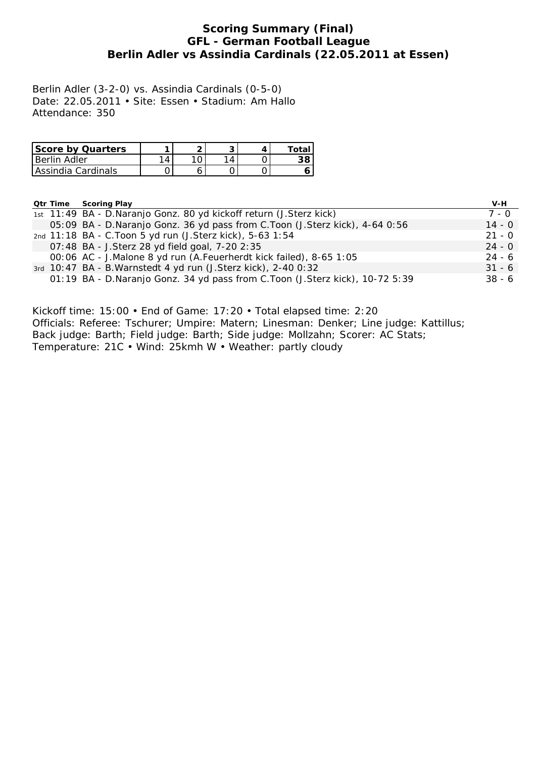## **Scoring Summary (Final) GFL - German Football League Berlin Adler vs Assindia Cardinals (22.05.2011 at Essen)**

Berlin Adler (3-2-0) vs. Assindia Cardinals (0-5-0) Date: 22.05.2011 • Site: Essen • Stadium: Am Hallo Attendance: 350

| <b>Score by Quarters</b> |  |  | Total |
|--------------------------|--|--|-------|
| l Berlin Adler           |  |  | 38    |
| Assindia Cardinals       |  |  |       |

**Qtr Time Scoring Play V-H**

|  | 1st 11:49 BA - D.Naranjo Gonz. 80 yd kickoff return (J.Sterz kick)           | 7 - 0    |
|--|------------------------------------------------------------------------------|----------|
|  | 05:09 BA - D.Naranjo Gonz. 36 yd pass from C.Toon (J.Sterz kick), 4-64 0:56  | $14 - 0$ |
|  | 2nd 11:18 BA - C. Toon 5 yd run (J. Sterz kick), 5-63 1:54                   | $21 - 0$ |
|  | 07:48 BA - J.Sterz 28 yd field goal, 7-20 2:35                               | $24 - 0$ |
|  | 00:06 AC - J.Malone 8 yd run (A.Feuerherdt kick failed), 8-65 1:05           | 24 - 6   |
|  | 3rd 10:47 BA - B. Warnstedt 4 yd run (J. Sterz kick), 2-40 0:32              | $31 - 6$ |
|  | 01:19 BA - D.Naranjo Gonz. 34 yd pass from C.Toon (J.Sterz kick), 10-72 5:39 | $38 - 6$ |
|  |                                                                              |          |

Kickoff time: 15:00 • End of Game: 17:20 • Total elapsed time: 2:20 Officials: Referee: Tschurer; Umpire: Matern; Linesman: Denker; Line judge: Kattillus; Back judge: Barth; Field judge: Barth; Side judge: Mollzahn; Scorer: AC Stats; Temperature: 21C • Wind: 25kmh W • Weather: partly cloudy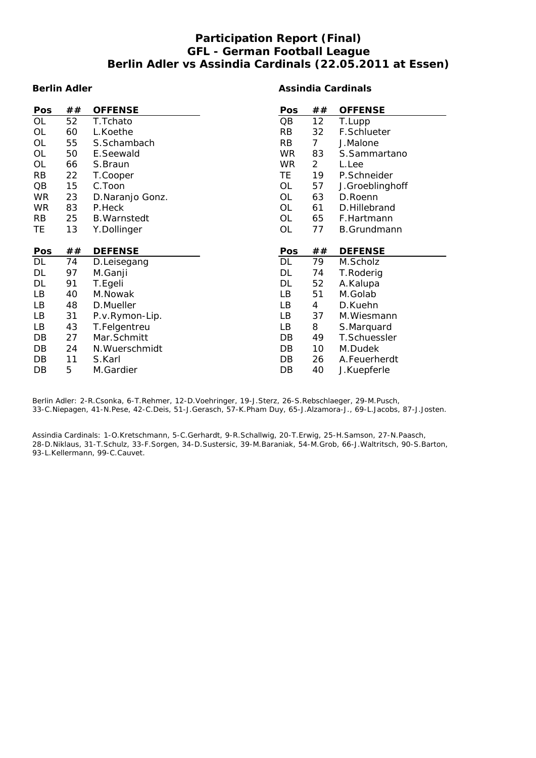## **Participation Report (Final) GFL - German Football League Berlin Adler vs Assindia Cardinals (22.05.2011 at Essen)**

#### **Berlin Adler**

#### **Assindia Cardinals**

| Pos        | ## | <b>OFFENSE</b>      | Pos       | ##             | <b>OFFENSE</b>     |
|------------|----|---------------------|-----------|----------------|--------------------|
| OL         | 52 | T.Tchato            | QB        | 12             | T.Lupp             |
| <b>OL</b>  | 60 | L.Koethe            | <b>RB</b> | 32             | F.Schlueter        |
| <b>OL</b>  | 55 | S.Schambach         | RB        | 7 <sup>1</sup> | J.Malone           |
| OL         | 50 | E.Seewald           | WR.       | 83             | S.Sammartano       |
| OL         | 66 | S.Braun             | <b>WR</b> | $\overline{a}$ | L.Lee              |
| <b>RB</b>  | 22 | T.Cooper            | TE.       | 19             | P.Schneider        |
| QB         | 15 | C.Toon              | <b>OL</b> | 57             | J.Groeblinghoff    |
| <b>WR</b>  | 23 | D.Naranjo Gonz.     | OL        | 63             | D.Roenn            |
| <b>WR</b>  | 83 | P.Heck              | <b>OL</b> | 61             | D.Hillebrand       |
| <b>RB</b>  | 25 | <b>B.</b> Warnstedt | OL        | 65             | F.Hartmann         |
| TE         | 13 | Y.Dollinger         | <b>OL</b> | 77             | <b>B.Grundmann</b> |
|            |    |                     |           |                |                    |
|            |    |                     |           |                |                    |
| <b>Pos</b> | ## | <b>DEFENSE</b>      | Pos       | ##             | <b>DEFENSE</b>     |
| DL         | 74 | D.Leisegang         | DL        | 79             | M.Scholz           |
| DL         | 97 | M.Ganji             | DL        | 74             | T.Roderig          |
| DL         | 91 | T.Egeli             | DL        | 52             | A.Kalupa           |
| LB         | 40 | M.Nowak             | LВ        | 51             | M.Golab            |
| LB         | 48 | D.Mueller           | LВ        | 4              | D.Kuehn            |
| LB         | 31 | P.v.Rymon-Lip.      | LВ        | 37             | M.Wiesmann         |
| LB         | 43 | T.Felgentreu        | LB        | 8              | S.Marquard         |
| DB         | 27 | Mar.Schmitt         | DB        | 49             | T.Schuessler       |
| DB         | 24 | N. Wuerschmidt      | DB        | 10             | M.Dudek            |
| DB         | 11 | S.Karl              | DB        | 26             | A.Feuerherdt       |

Berlin Adler: 2-R.Csonka, 6-T.Rehmer, 12-D.Voehringer, 19-J.Sterz, 26-S.Rebschlaeger, 29-M.Pusch, 33-C.Niepagen, 41-N.Pese, 42-C.Deis, 51-J.Gerasch, 57-K.Pham Duy, 65-J.Alzamora-J., 69-L.Jacobs, 87-J.Josten.

Assindia Cardinals: 1-O.Kretschmann, 5-C.Gerhardt, 9-R.Schallwig, 20-T.Erwig, 25-H.Samson, 27-N.Paasch, 28-D.Niklaus, 31-T.Schulz, 33-F.Sorgen, 34-D.Sustersic, 39-M.Baraniak, 54-M.Grob, 66-J.Waltritsch, 90-S.Barton, 93-L.Kellermann, 99-C.Cauvet.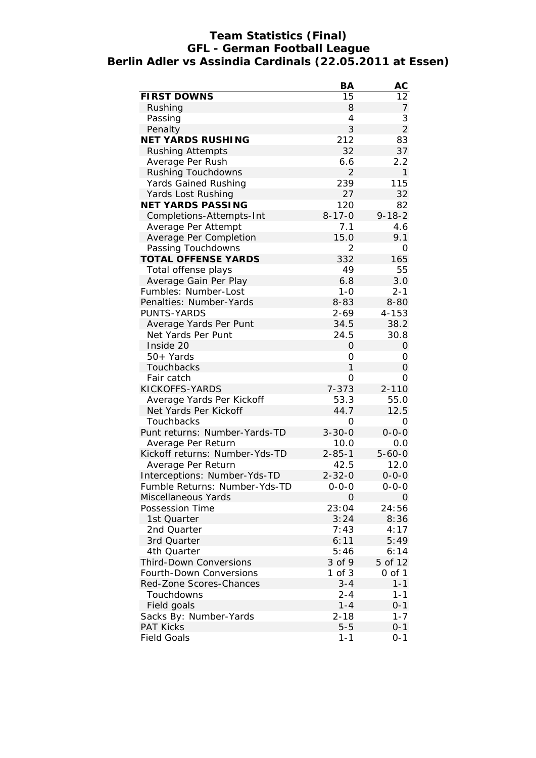## **Team Statistics (Final) GFL - German Football League Berlin Adler vs Assindia Cardinals (22.05.2011 at Essen)**

| <b>FIRST DOWNS</b><br>15<br>12<br>8<br>Rushing<br>7<br>3<br>4<br>Passing<br>$\overline{2}$<br>3<br>Penalty<br><b>NET YARDS RUSHING</b><br>212<br>83<br>32<br>37<br><b>Rushing Attempts</b><br>2.2<br>Average Per Rush<br>6.6<br>Rushing Touchdowns<br>$\overline{2}$<br>1<br>239<br>115<br>Yards Gained Rushing<br>27<br>32<br>Yards Lost Rushing<br><b>NET YARDS PASSING</b><br>120<br>82<br>$8 - 17 - 0$<br>$9 - 18 - 2$<br>Completions-Attempts-Int<br>7.1<br>4.6<br>Average Per Attempt<br>15.0<br>Average Per Completion<br>9.1<br>Passing Touchdowns<br>2<br>0<br>332<br><b>TOTAL OFFENSE YARDS</b><br>165<br>49<br>Total offense plays<br>55<br>Average Gain Per Play<br>6.8<br>3.0<br>Fumbles: Number-Lost<br>$1 - 0$<br>$2 - 1$<br>Penalties: Number-Yards<br>$8 - 83$<br>$8 - 80$<br><b>PUNTS-YARDS</b><br>$2 - 69$<br>$4 - 153$<br>Average Yards Per Punt<br>38.2<br>34.5<br>Net Yards Per Punt<br>24.5<br>30.8<br>Inside 20<br>0<br>0<br>50+ Yards<br>0<br>0<br>1<br>Touchbacks<br>0<br>O<br>Fair catch<br>0<br>KICKOFFS-YARDS<br>$7 - 373$<br>$2 - 110$<br>53.3<br>Average Yards Per Kickoff<br>55.0<br>Net Yards Per Kickoff<br>12.5<br>44.7<br>Touchbacks<br>O<br>0<br>$3 - 30 - 0$<br>$0 - 0 - 0$<br>Punt returns: Number-Yards-TD<br>Average Per Return<br>10.0<br>0.0<br>Kickoff returns: Number-Yds-TD<br>$2 - 85 - 1$<br>$5 - 60 - 0$<br>42.5<br>12.0<br>Average Per Return<br>Interceptions: Number-Yds-TD<br>$2 - 32 - 0$<br>$0 - 0 - 0$<br>Fumble Returns: Number-Yds-TD<br>$0 - 0 - 0$<br>$0 - 0 - 0$<br>Miscellaneous Yards<br>$\Omega$<br>0<br>24:56<br>Possession Time<br>23:04<br>8:36<br>1st Quarter<br>3:24<br>2nd Quarter<br>7:43<br>4:17<br>3rd Quarter<br>6:11<br>5:49<br>4th Quarter<br>5:46<br>6:14<br>5 of 12<br><b>Third-Down Conversions</b><br>3 of 9<br>$0$ of $1$<br>Fourth-Down Conversions<br>$1$ of $3$<br>$1 - 1$<br>Red-Zone Scores-Chances<br>$3 - 4$<br>$1 - 1$<br>Touchdowns<br>$2 - 4$<br>Field goals<br>$1 - 4$<br>$0 - 1$<br>$2 - 18$<br>$1 - 7$<br>Sacks By: Number-Yards |                  | BA      | AC      |
|--------------------------------------------------------------------------------------------------------------------------------------------------------------------------------------------------------------------------------------------------------------------------------------------------------------------------------------------------------------------------------------------------------------------------------------------------------------------------------------------------------------------------------------------------------------------------------------------------------------------------------------------------------------------------------------------------------------------------------------------------------------------------------------------------------------------------------------------------------------------------------------------------------------------------------------------------------------------------------------------------------------------------------------------------------------------------------------------------------------------------------------------------------------------------------------------------------------------------------------------------------------------------------------------------------------------------------------------------------------------------------------------------------------------------------------------------------------------------------------------------------------------------------------------------------------------------------------------------------------------------------------------------------------------------------------------------------------------------------------------------------------------------------------------------------------------------------------------------------------------------------------------------------------------------------------------------------------------------------------------------------------------------------|------------------|---------|---------|
|                                                                                                                                                                                                                                                                                                                                                                                                                                                                                                                                                                                                                                                                                                                                                                                                                                                                                                                                                                                                                                                                                                                                                                                                                                                                                                                                                                                                                                                                                                                                                                                                                                                                                                                                                                                                                                                                                                                                                                                                                                |                  |         |         |
|                                                                                                                                                                                                                                                                                                                                                                                                                                                                                                                                                                                                                                                                                                                                                                                                                                                                                                                                                                                                                                                                                                                                                                                                                                                                                                                                                                                                                                                                                                                                                                                                                                                                                                                                                                                                                                                                                                                                                                                                                                |                  |         |         |
|                                                                                                                                                                                                                                                                                                                                                                                                                                                                                                                                                                                                                                                                                                                                                                                                                                                                                                                                                                                                                                                                                                                                                                                                                                                                                                                                                                                                                                                                                                                                                                                                                                                                                                                                                                                                                                                                                                                                                                                                                                |                  |         |         |
|                                                                                                                                                                                                                                                                                                                                                                                                                                                                                                                                                                                                                                                                                                                                                                                                                                                                                                                                                                                                                                                                                                                                                                                                                                                                                                                                                                                                                                                                                                                                                                                                                                                                                                                                                                                                                                                                                                                                                                                                                                |                  |         |         |
|                                                                                                                                                                                                                                                                                                                                                                                                                                                                                                                                                                                                                                                                                                                                                                                                                                                                                                                                                                                                                                                                                                                                                                                                                                                                                                                                                                                                                                                                                                                                                                                                                                                                                                                                                                                                                                                                                                                                                                                                                                |                  |         |         |
|                                                                                                                                                                                                                                                                                                                                                                                                                                                                                                                                                                                                                                                                                                                                                                                                                                                                                                                                                                                                                                                                                                                                                                                                                                                                                                                                                                                                                                                                                                                                                                                                                                                                                                                                                                                                                                                                                                                                                                                                                                |                  |         |         |
|                                                                                                                                                                                                                                                                                                                                                                                                                                                                                                                                                                                                                                                                                                                                                                                                                                                                                                                                                                                                                                                                                                                                                                                                                                                                                                                                                                                                                                                                                                                                                                                                                                                                                                                                                                                                                                                                                                                                                                                                                                |                  |         |         |
|                                                                                                                                                                                                                                                                                                                                                                                                                                                                                                                                                                                                                                                                                                                                                                                                                                                                                                                                                                                                                                                                                                                                                                                                                                                                                                                                                                                                                                                                                                                                                                                                                                                                                                                                                                                                                                                                                                                                                                                                                                |                  |         |         |
|                                                                                                                                                                                                                                                                                                                                                                                                                                                                                                                                                                                                                                                                                                                                                                                                                                                                                                                                                                                                                                                                                                                                                                                                                                                                                                                                                                                                                                                                                                                                                                                                                                                                                                                                                                                                                                                                                                                                                                                                                                |                  |         |         |
|                                                                                                                                                                                                                                                                                                                                                                                                                                                                                                                                                                                                                                                                                                                                                                                                                                                                                                                                                                                                                                                                                                                                                                                                                                                                                                                                                                                                                                                                                                                                                                                                                                                                                                                                                                                                                                                                                                                                                                                                                                |                  |         |         |
|                                                                                                                                                                                                                                                                                                                                                                                                                                                                                                                                                                                                                                                                                                                                                                                                                                                                                                                                                                                                                                                                                                                                                                                                                                                                                                                                                                                                                                                                                                                                                                                                                                                                                                                                                                                                                                                                                                                                                                                                                                |                  |         |         |
|                                                                                                                                                                                                                                                                                                                                                                                                                                                                                                                                                                                                                                                                                                                                                                                                                                                                                                                                                                                                                                                                                                                                                                                                                                                                                                                                                                                                                                                                                                                                                                                                                                                                                                                                                                                                                                                                                                                                                                                                                                |                  |         |         |
|                                                                                                                                                                                                                                                                                                                                                                                                                                                                                                                                                                                                                                                                                                                                                                                                                                                                                                                                                                                                                                                                                                                                                                                                                                                                                                                                                                                                                                                                                                                                                                                                                                                                                                                                                                                                                                                                                                                                                                                                                                |                  |         |         |
|                                                                                                                                                                                                                                                                                                                                                                                                                                                                                                                                                                                                                                                                                                                                                                                                                                                                                                                                                                                                                                                                                                                                                                                                                                                                                                                                                                                                                                                                                                                                                                                                                                                                                                                                                                                                                                                                                                                                                                                                                                |                  |         |         |
|                                                                                                                                                                                                                                                                                                                                                                                                                                                                                                                                                                                                                                                                                                                                                                                                                                                                                                                                                                                                                                                                                                                                                                                                                                                                                                                                                                                                                                                                                                                                                                                                                                                                                                                                                                                                                                                                                                                                                                                                                                |                  |         |         |
|                                                                                                                                                                                                                                                                                                                                                                                                                                                                                                                                                                                                                                                                                                                                                                                                                                                                                                                                                                                                                                                                                                                                                                                                                                                                                                                                                                                                                                                                                                                                                                                                                                                                                                                                                                                                                                                                                                                                                                                                                                |                  |         |         |
|                                                                                                                                                                                                                                                                                                                                                                                                                                                                                                                                                                                                                                                                                                                                                                                                                                                                                                                                                                                                                                                                                                                                                                                                                                                                                                                                                                                                                                                                                                                                                                                                                                                                                                                                                                                                                                                                                                                                                                                                                                |                  |         |         |
|                                                                                                                                                                                                                                                                                                                                                                                                                                                                                                                                                                                                                                                                                                                                                                                                                                                                                                                                                                                                                                                                                                                                                                                                                                                                                                                                                                                                                                                                                                                                                                                                                                                                                                                                                                                                                                                                                                                                                                                                                                |                  |         |         |
|                                                                                                                                                                                                                                                                                                                                                                                                                                                                                                                                                                                                                                                                                                                                                                                                                                                                                                                                                                                                                                                                                                                                                                                                                                                                                                                                                                                                                                                                                                                                                                                                                                                                                                                                                                                                                                                                                                                                                                                                                                |                  |         |         |
|                                                                                                                                                                                                                                                                                                                                                                                                                                                                                                                                                                                                                                                                                                                                                                                                                                                                                                                                                                                                                                                                                                                                                                                                                                                                                                                                                                                                                                                                                                                                                                                                                                                                                                                                                                                                                                                                                                                                                                                                                                |                  |         |         |
|                                                                                                                                                                                                                                                                                                                                                                                                                                                                                                                                                                                                                                                                                                                                                                                                                                                                                                                                                                                                                                                                                                                                                                                                                                                                                                                                                                                                                                                                                                                                                                                                                                                                                                                                                                                                                                                                                                                                                                                                                                |                  |         |         |
|                                                                                                                                                                                                                                                                                                                                                                                                                                                                                                                                                                                                                                                                                                                                                                                                                                                                                                                                                                                                                                                                                                                                                                                                                                                                                                                                                                                                                                                                                                                                                                                                                                                                                                                                                                                                                                                                                                                                                                                                                                |                  |         |         |
|                                                                                                                                                                                                                                                                                                                                                                                                                                                                                                                                                                                                                                                                                                                                                                                                                                                                                                                                                                                                                                                                                                                                                                                                                                                                                                                                                                                                                                                                                                                                                                                                                                                                                                                                                                                                                                                                                                                                                                                                                                |                  |         |         |
|                                                                                                                                                                                                                                                                                                                                                                                                                                                                                                                                                                                                                                                                                                                                                                                                                                                                                                                                                                                                                                                                                                                                                                                                                                                                                                                                                                                                                                                                                                                                                                                                                                                                                                                                                                                                                                                                                                                                                                                                                                |                  |         |         |
|                                                                                                                                                                                                                                                                                                                                                                                                                                                                                                                                                                                                                                                                                                                                                                                                                                                                                                                                                                                                                                                                                                                                                                                                                                                                                                                                                                                                                                                                                                                                                                                                                                                                                                                                                                                                                                                                                                                                                                                                                                |                  |         |         |
|                                                                                                                                                                                                                                                                                                                                                                                                                                                                                                                                                                                                                                                                                                                                                                                                                                                                                                                                                                                                                                                                                                                                                                                                                                                                                                                                                                                                                                                                                                                                                                                                                                                                                                                                                                                                                                                                                                                                                                                                                                |                  |         |         |
|                                                                                                                                                                                                                                                                                                                                                                                                                                                                                                                                                                                                                                                                                                                                                                                                                                                                                                                                                                                                                                                                                                                                                                                                                                                                                                                                                                                                                                                                                                                                                                                                                                                                                                                                                                                                                                                                                                                                                                                                                                |                  |         |         |
|                                                                                                                                                                                                                                                                                                                                                                                                                                                                                                                                                                                                                                                                                                                                                                                                                                                                                                                                                                                                                                                                                                                                                                                                                                                                                                                                                                                                                                                                                                                                                                                                                                                                                                                                                                                                                                                                                                                                                                                                                                |                  |         |         |
|                                                                                                                                                                                                                                                                                                                                                                                                                                                                                                                                                                                                                                                                                                                                                                                                                                                                                                                                                                                                                                                                                                                                                                                                                                                                                                                                                                                                                                                                                                                                                                                                                                                                                                                                                                                                                                                                                                                                                                                                                                |                  |         |         |
|                                                                                                                                                                                                                                                                                                                                                                                                                                                                                                                                                                                                                                                                                                                                                                                                                                                                                                                                                                                                                                                                                                                                                                                                                                                                                                                                                                                                                                                                                                                                                                                                                                                                                                                                                                                                                                                                                                                                                                                                                                |                  |         |         |
|                                                                                                                                                                                                                                                                                                                                                                                                                                                                                                                                                                                                                                                                                                                                                                                                                                                                                                                                                                                                                                                                                                                                                                                                                                                                                                                                                                                                                                                                                                                                                                                                                                                                                                                                                                                                                                                                                                                                                                                                                                |                  |         |         |
|                                                                                                                                                                                                                                                                                                                                                                                                                                                                                                                                                                                                                                                                                                                                                                                                                                                                                                                                                                                                                                                                                                                                                                                                                                                                                                                                                                                                                                                                                                                                                                                                                                                                                                                                                                                                                                                                                                                                                                                                                                |                  |         |         |
|                                                                                                                                                                                                                                                                                                                                                                                                                                                                                                                                                                                                                                                                                                                                                                                                                                                                                                                                                                                                                                                                                                                                                                                                                                                                                                                                                                                                                                                                                                                                                                                                                                                                                                                                                                                                                                                                                                                                                                                                                                |                  |         |         |
|                                                                                                                                                                                                                                                                                                                                                                                                                                                                                                                                                                                                                                                                                                                                                                                                                                                                                                                                                                                                                                                                                                                                                                                                                                                                                                                                                                                                                                                                                                                                                                                                                                                                                                                                                                                                                                                                                                                                                                                                                                |                  |         |         |
|                                                                                                                                                                                                                                                                                                                                                                                                                                                                                                                                                                                                                                                                                                                                                                                                                                                                                                                                                                                                                                                                                                                                                                                                                                                                                                                                                                                                                                                                                                                                                                                                                                                                                                                                                                                                                                                                                                                                                                                                                                |                  |         |         |
|                                                                                                                                                                                                                                                                                                                                                                                                                                                                                                                                                                                                                                                                                                                                                                                                                                                                                                                                                                                                                                                                                                                                                                                                                                                                                                                                                                                                                                                                                                                                                                                                                                                                                                                                                                                                                                                                                                                                                                                                                                |                  |         |         |
|                                                                                                                                                                                                                                                                                                                                                                                                                                                                                                                                                                                                                                                                                                                                                                                                                                                                                                                                                                                                                                                                                                                                                                                                                                                                                                                                                                                                                                                                                                                                                                                                                                                                                                                                                                                                                                                                                                                                                                                                                                |                  |         |         |
|                                                                                                                                                                                                                                                                                                                                                                                                                                                                                                                                                                                                                                                                                                                                                                                                                                                                                                                                                                                                                                                                                                                                                                                                                                                                                                                                                                                                                                                                                                                                                                                                                                                                                                                                                                                                                                                                                                                                                                                                                                |                  |         |         |
|                                                                                                                                                                                                                                                                                                                                                                                                                                                                                                                                                                                                                                                                                                                                                                                                                                                                                                                                                                                                                                                                                                                                                                                                                                                                                                                                                                                                                                                                                                                                                                                                                                                                                                                                                                                                                                                                                                                                                                                                                                |                  |         |         |
|                                                                                                                                                                                                                                                                                                                                                                                                                                                                                                                                                                                                                                                                                                                                                                                                                                                                                                                                                                                                                                                                                                                                                                                                                                                                                                                                                                                                                                                                                                                                                                                                                                                                                                                                                                                                                                                                                                                                                                                                                                |                  |         |         |
|                                                                                                                                                                                                                                                                                                                                                                                                                                                                                                                                                                                                                                                                                                                                                                                                                                                                                                                                                                                                                                                                                                                                                                                                                                                                                                                                                                                                                                                                                                                                                                                                                                                                                                                                                                                                                                                                                                                                                                                                                                |                  |         |         |
|                                                                                                                                                                                                                                                                                                                                                                                                                                                                                                                                                                                                                                                                                                                                                                                                                                                                                                                                                                                                                                                                                                                                                                                                                                                                                                                                                                                                                                                                                                                                                                                                                                                                                                                                                                                                                                                                                                                                                                                                                                |                  |         |         |
|                                                                                                                                                                                                                                                                                                                                                                                                                                                                                                                                                                                                                                                                                                                                                                                                                                                                                                                                                                                                                                                                                                                                                                                                                                                                                                                                                                                                                                                                                                                                                                                                                                                                                                                                                                                                                                                                                                                                                                                                                                |                  |         |         |
|                                                                                                                                                                                                                                                                                                                                                                                                                                                                                                                                                                                                                                                                                                                                                                                                                                                                                                                                                                                                                                                                                                                                                                                                                                                                                                                                                                                                                                                                                                                                                                                                                                                                                                                                                                                                                                                                                                                                                                                                                                |                  |         |         |
|                                                                                                                                                                                                                                                                                                                                                                                                                                                                                                                                                                                                                                                                                                                                                                                                                                                                                                                                                                                                                                                                                                                                                                                                                                                                                                                                                                                                                                                                                                                                                                                                                                                                                                                                                                                                                                                                                                                                                                                                                                |                  |         |         |
|                                                                                                                                                                                                                                                                                                                                                                                                                                                                                                                                                                                                                                                                                                                                                                                                                                                                                                                                                                                                                                                                                                                                                                                                                                                                                                                                                                                                                                                                                                                                                                                                                                                                                                                                                                                                                                                                                                                                                                                                                                |                  |         |         |
|                                                                                                                                                                                                                                                                                                                                                                                                                                                                                                                                                                                                                                                                                                                                                                                                                                                                                                                                                                                                                                                                                                                                                                                                                                                                                                                                                                                                                                                                                                                                                                                                                                                                                                                                                                                                                                                                                                                                                                                                                                |                  |         |         |
|                                                                                                                                                                                                                                                                                                                                                                                                                                                                                                                                                                                                                                                                                                                                                                                                                                                                                                                                                                                                                                                                                                                                                                                                                                                                                                                                                                                                                                                                                                                                                                                                                                                                                                                                                                                                                                                                                                                                                                                                                                |                  |         |         |
|                                                                                                                                                                                                                                                                                                                                                                                                                                                                                                                                                                                                                                                                                                                                                                                                                                                                                                                                                                                                                                                                                                                                                                                                                                                                                                                                                                                                                                                                                                                                                                                                                                                                                                                                                                                                                                                                                                                                                                                                                                |                  |         |         |
|                                                                                                                                                                                                                                                                                                                                                                                                                                                                                                                                                                                                                                                                                                                                                                                                                                                                                                                                                                                                                                                                                                                                                                                                                                                                                                                                                                                                                                                                                                                                                                                                                                                                                                                                                                                                                                                                                                                                                                                                                                | <b>PAT Kicks</b> | $5 - 5$ | $0 - 1$ |
| <b>Field Goals</b><br>$1 - 1$<br>$0 - 1$                                                                                                                                                                                                                                                                                                                                                                                                                                                                                                                                                                                                                                                                                                                                                                                                                                                                                                                                                                                                                                                                                                                                                                                                                                                                                                                                                                                                                                                                                                                                                                                                                                                                                                                                                                                                                                                                                                                                                                                       |                  |         |         |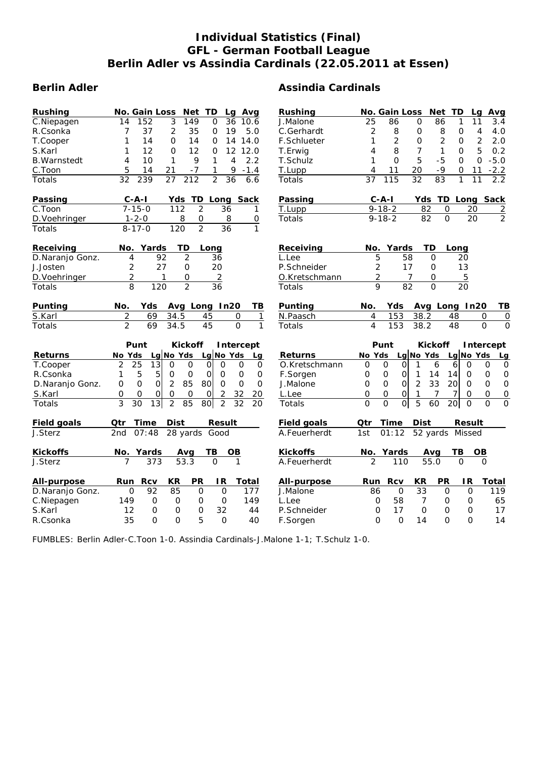## **Individual Statistics (Final) GFL - German Football League Berlin Adler vs Assindia Cardinals (22.05.2011 at Essen)**

| Rushing               | <b>No. Gain Loss</b><br>Net TD<br>Lg Avg                                                                         | Rushing            | No. Gain Loss<br>Net TD<br>Avg<br>Lg                                                                                       |
|-----------------------|------------------------------------------------------------------------------------------------------------------|--------------------|----------------------------------------------------------------------------------------------------------------------------|
| C.Niepagen            | 3<br>$\overline{36}$<br>14<br>152<br>149<br>0<br>10.6                                                            | J.Malone           | 25<br>$\mathsf{O}$<br>86<br>11<br>3.4<br>86<br>1                                                                           |
| R.Csonka              | 37<br>$\overline{2}$<br>7<br>35<br>19<br>5.0<br>0                                                                | C.Gerhardt         | $\overline{c}$<br>8<br>$\mathsf{O}$<br>8<br>0<br>$\overline{4}$<br>4.0                                                     |
| T.Cooper              | 14<br>$\Omega$<br>1<br>14<br>14.0<br>0<br>14                                                                     | <b>F.Schlueter</b> | $\overline{2}$<br>$\overline{2}$<br>$\overline{2}$<br>1<br>2.0<br>$\Omega$<br>0                                            |
| S.Karl                | 12<br>12<br>1<br>$\Omega$<br>$\mathbf 0$<br>12<br>12.0                                                           | T.Erwig            | 8<br>$\overline{7}$<br>$\mathbf{1}$<br>$\Omega$<br>5<br>0.2<br>4                                                           |
| <b>B.Warnstedt</b>    | 4<br>10<br>1<br>9<br>$\mathbf{1}$<br>4<br>2.2                                                                    | T.Schulz           | 5<br>0<br>$\mathbf 0$<br>1<br>$-5$<br>$\Omega$<br>$-5.0$                                                                   |
| C.Toon                | 5<br>21<br>$-1.4$<br>14<br>$-7$<br>1<br>9                                                                        | T.Lupp             | 11<br>20<br>$-9$<br>$-2.2$<br>0<br>11<br>4                                                                                 |
| <b>Totals</b>         | $\overline{212}$<br>32<br>239<br>27<br>$\overline{2}$<br>36<br>6.6                                               | Totals             | $\overline{32}$<br>115<br>$\overline{83}$<br>37<br>1<br>11<br>2.2                                                          |
| Passing               | $C - A - I$<br>TD<br>Yds<br>Long Sack                                                                            | <b>Passing</b>     | $C - A - I$<br>Yds TD Long Sack                                                                                            |
| $\overline{C}$ . Toon | $7 - 15 - 0$<br>112<br>$\overline{2}$<br>36<br>1                                                                 | T.Lupp             | $9 - 18 - 2$<br>82<br>0<br>20<br>$\overline{2}$                                                                            |
| D. Voehringer         | 8<br>$\mathbf 0$<br>8<br>0<br>$1 - 2 - 0$                                                                        | Totals             | $\overline{2}$<br>$\overline{O}$<br>20<br>82<br>$9 - 18 - 2$                                                               |
| Totals                | $\overline{2}$<br>$\overline{120}$<br>$\overline{36}$<br>$\mathbf{1}$<br>$8 - 17 - 0$                            |                    |                                                                                                                            |
| Receiving             | No. Yards<br>TD<br>Long                                                                                          | Receiving          | TD<br>Yards<br>No.<br>Long                                                                                                 |
| D.Naranjo Gonz.       | 92<br>$\overline{2}$<br>4<br>36                                                                                  | L.Lee              | 5<br>58<br>$\Omega$<br>20                                                                                                  |
| J.Josten              | $\overline{a}$<br>20<br>27<br>$\mathsf{O}\xspace$                                                                | P.Schneider        | 2<br>17<br>13<br>$\mathsf O$                                                                                               |
| D. Voehringer         | $\overline{c}$<br>$\mathsf O$<br>$\overline{2}$<br>1                                                             | O.Kretschmann      | 2<br>$\overline{7}$<br>$\overline{5}$<br>$\mathsf O$                                                                       |
| Totals                | $\overline{8}$<br>$\overline{2}$<br>$\overline{36}$<br>$\overline{120}$                                          | <b>Totals</b>      | 9<br>$\overline{82}$<br>$\overline{0}$<br>$\overline{20}$                                                                  |
| Punting               | No.<br>Yds<br>Avg Long In20<br>TВ                                                                                | Punting            | Avg Long In20<br>No.<br>Yds.<br>TВ                                                                                         |
| S.Karl                | $\overline{c}$<br>69<br>34.5<br>45<br>O<br>$\mathbf{1}$                                                          | N.Paasch           | 153<br>38.2<br>4<br>48<br>$\Omega$<br>0                                                                                    |
| Totals                | 69<br>45<br>$\Omega$<br>$\mathbf{1}$<br>2<br>34.5                                                                | <b>Totals</b>      | 153<br>4<br>38.2<br>48<br>$\Omega$<br>$\Omega$                                                                             |
|                       | Punt<br><b>Kickoff</b><br>Intercept                                                                              |                    | Punt<br><b>Kickoff</b><br>Intercept                                                                                        |
| <b>Returns</b>        | $Lg$ No Yds<br>Lg No Yds<br>No Yds<br>Lg                                                                         | <b>Returns</b>     | No Yds<br>Lg No Yds<br>Lg No Yds<br>Lg                                                                                     |
| T.Cooper              | $\overline{13}$<br>25<br>$\mathbf 0$<br>2<br>O<br>$\Omega$<br>O<br>$\mathbf 0$<br>0                              | O.Kretschmann      | $\mathbf 0$<br>6<br>$\mathbf 0$<br>0<br>0<br>1<br>6<br>0<br>0                                                              |
| R.Csonka              | $\mathbf 5$<br>5<br>$\mathbf 0$<br>1<br>$\mathbf 0$<br>$\mathbf 0$<br>$\mbox{O}$<br>$\mathbf 0$<br>0             | F.Sorgen           | 0<br>$\mathbf 0$<br>$\Omega$<br>14<br>14<br>$\mathbf 0$<br>$\mathbf 0$<br>$\mathbf 0$<br>1                                 |
| D.Naranjo Gonz.       | 0<br>85<br>$\Omega$<br>$\mathsf{O}$<br>2<br>80<br>$\overline{O}$<br>$\mathsf{O}$<br>$\Omega$                     | J.Malone           | $\overline{2}$<br>33<br>20<br>0<br>$\mathbf 0$<br>$\Omega$<br>$\mathbf 0$<br>$\mathsf{O}$<br>$\mathsf{O}\xspace$           |
| S.Karl                | 0<br>$\mathbf 0$<br>$\mathbf 0$<br>2<br>32<br>0<br>O<br>$\mathbf 0$<br>20                                        | L.Lee              | 0<br>$\mathbf 0$<br>1<br>$\mathsf{O}$<br>$\mathbf 0$<br>0<br>7<br>7<br>0                                                   |
| Totals                | 3<br>$\overline{13}$<br>$\overline{30}$<br>$\overline{2}$<br>85<br>80<br>$\overline{2}$<br>$\overline{32}$<br>20 | Totals             | $\overline{O}$<br>$\overline{0}$<br>$\overline{5}$<br>$\overline{0}$<br>$\Omega$<br>$\overline{0}$<br>$\Omega$<br>60<br>20 |
| <b>Field goals</b>    | <b>Time</b><br><b>Dist</b><br>Qtr<br><b>Result</b>                                                               | <b>Field goals</b> | <b>Dist</b><br>Qtr<br>Time<br>Result                                                                                       |
| J.Sterz               | 28 yards<br>2nd<br>07:48<br>Good                                                                                 | A.Feuerherdt       | 01:12<br>52 yards Missed<br>1st                                                                                            |
| <b>Kickoffs</b>       | No. Yards<br>ΤВ<br>OВ<br>Avg                                                                                     | <b>Kickoffs</b>    | No. Yards<br>ΤВ<br>OВ<br>Avq                                                                                               |
| J.Sterz               | 53.3<br>$\overline{7}$<br>373<br>$\overline{O}$<br>$\mathbf{1}$                                                  | A.Feuerherdt       | $\overline{2}$<br>110<br>55.0<br>$\Omega$<br>$\Omega$                                                                      |
| All-purpose           | <b>PR</b><br><b>Rcv</b><br>KR<br>IR.<br>Run<br>Total                                                             | All-purpose        | KR<br><b>PR</b><br><b>IR</b><br>Run Rcv<br><b>Total</b>                                                                    |
| D.Naranjo Gonz.       | 85<br>0<br>92<br>$\mathbf 0$<br>$\mathbf 0$<br>177                                                               | J.Malone           | 86<br>$\mathbf 0$<br>33<br>$\Omega$<br>$\mathsf{O}$<br>119                                                                 |
| C.Niepagen            | 149<br>0<br>0<br>$\mathbf 0$<br>$\mathbf 0$<br>149                                                               | L.Lee              | 58<br>$\mathbf 0$<br>65<br>0<br>7<br>0                                                                                     |
| S.Karl                | 32<br>12<br>$\mathsf{O}$<br>$\mathbf 0$<br>$\mathbf 0$<br>44                                                     | P.Schneider        | 17<br>$\Omega$<br>$\mathbf 0$<br>17<br>0<br>$\mathbf 0$                                                                    |
| R.Csonka              | $\Omega$<br>5<br>35<br>$\Omega$<br>$\Omega$<br>40                                                                | F.Sorgen           | $\overline{O}$<br>0<br>$\Omega$<br>14<br>$\Omega$<br>14                                                                    |

FUMBLES: Berlin Adler-C.Toon 1-0. Assindia Cardinals-J.Malone 1-1; T.Schulz 1-0.

# **Berlin Adler Assindia Cardinals**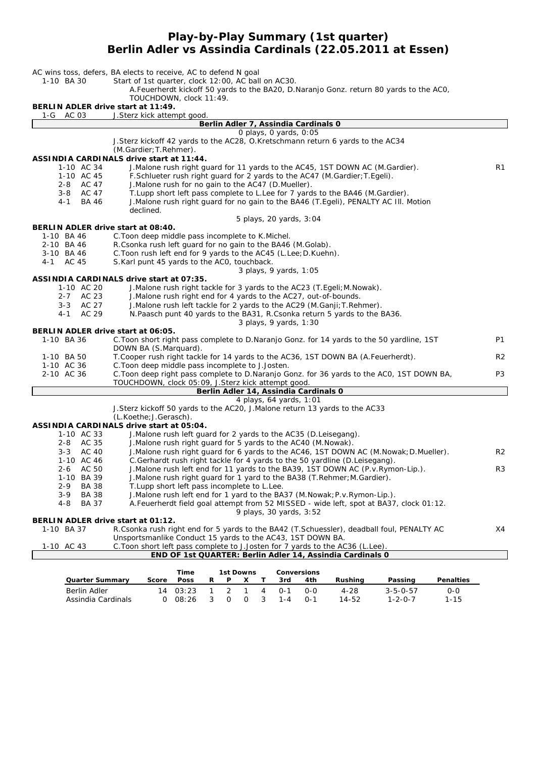#### **Play-by-Play Summary (1st quarter) Berlin Adler vs Assindia Cardinals (22.05.2011 at Essen)**

|                                                  | AC wins toss, defers, BA elects to receive, AC to defend N goal<br>Start of 1st quarter, clock 12:00, AC ball on AC30. |                |
|--------------------------------------------------|------------------------------------------------------------------------------------------------------------------------|----------------|
| 1-10 BA 30                                       | A. Feuerherdt kickoff 50 yards to the BA20, D. Naranjo Gonz. return 80 yards to the AC0,                               |                |
|                                                  | TOUCHDOWN, clock 11:49.                                                                                                |                |
| BERLIN ADLER drive start at 11:49.               |                                                                                                                        |                |
| 1-G AC 03                                        | J.Sterz kick attempt good.                                                                                             |                |
|                                                  | Berlin Adler 7, Assindia Cardinals 0                                                                                   |                |
|                                                  | 0 plays, 0 yards, 0:05                                                                                                 |                |
|                                                  | J. Sterz kickoff 42 yards to the AC28, O. Kretschmann return 6 yards to the AC34                                       |                |
|                                                  | (M.Gardier; T.Rehmer).<br>ASSINDIA CARDINALS drive start at 11:44.                                                     |                |
| 1-10 AC 34                                       | J. Malone rush right guard for 11 yards to the AC45, 1ST DOWN AC (M. Gardier).                                         | R1             |
| 1-10 AC 45                                       | F.Schlueter rush right guard for 2 yards to the AC47 (M.Gardier; T.Egeli).                                             |                |
| 2-8 AC 47                                        | J. Malone rush for no gain to the AC47 (D. Mueller).                                                                   |                |
| 3-8 AC 47                                        | T. Lupp short left pass complete to L. Lee for 7 yards to the BA46 (M. Gardier).                                       |                |
| BA 46<br>4-1                                     | J.Malone rush right guard for no gain to the BA46 (T.Egeli), PENALTY AC III. Motion                                    |                |
|                                                  | declined.                                                                                                              |                |
|                                                  | 5 plays, 20 yards, 3:04                                                                                                |                |
| BERLIN ADLER drive start at 08:40.               |                                                                                                                        |                |
| 1-10 BA 46                                       | C. Toon deep middle pass incomplete to K. Michel.                                                                      |                |
| 2-10 BA 46                                       | R.Csonka rush left guard for no gain to the BA46 (M.Golab).                                                            |                |
| 3-10 BA 46                                       | C. Toon rush left end for 9 yards to the AC45 (L. Lee; D. Kuehn).                                                      |                |
| AC 45<br>4 - 1                                   | S.Karl punt 45 yards to the ACO, touchback.                                                                            |                |
|                                                  | 3 plays, 9 yards, 1:05                                                                                                 |                |
|                                                  | <b>ASSINDIA CARDINALS drive start at 07:35.</b>                                                                        |                |
| 1-10 AC 20                                       | J. Malone rush right tackle for 3 yards to the AC23 (T. Egeli; M. Nowak).                                              |                |
| 2-7 AC 23                                        | J. Malone rush right end for 4 yards to the AC27, out-of-bounds.                                                       |                |
| 3-3 AC 27                                        | J. Malone rush left tackle for 2 yards to the AC29 (M. Ganji; T. Rehmer).                                              |                |
| AC 29<br>4 - 1                                   | N.Paasch punt 40 yards to the BA31, R.Csonka return 5 yards to the BA36.                                               |                |
|                                                  | 3 plays, 9 yards, 1:30                                                                                                 |                |
| BERLIN ADLER drive start at 06:05.<br>1-10 BA 36 | C. Toon short right pass complete to D. Naranjo Gonz. for 14 yards to the 50 yardline, 1ST                             | P1             |
|                                                  | DOWN BA (S.Marquard).                                                                                                  |                |
| 1-10 BA 50                                       | T. Cooper rush right tackle for 14 yards to the AC36, 1ST DOWN BA (A. Feuerherdt).                                     | R <sub>2</sub> |
| 1-10 AC 36                                       | C. Toon deep middle pass incomplete to J. Josten.                                                                      |                |
| 2-10 AC 36                                       | C. Toon deep right pass complete to D. Naranjo Gonz. for 36 yards to the ACO, 1ST DOWN BA,                             | P3             |
|                                                  | TOUCHDOWN, clock 05:09, J.Sterz kick attempt good.                                                                     |                |
|                                                  | Berlin Adler 14, Assindia Cardinals 0                                                                                  |                |
|                                                  | 4 plays, 64 yards, 1:01                                                                                                |                |
|                                                  | J.Sterz kickoff 50 yards to the AC20, J.Malone return 13 yards to the AC33                                             |                |
|                                                  | (L.Koethe; J.Gerasch).                                                                                                 |                |
|                                                  | <b>ASSINDIA CARDINALS drive start at 05:04.</b>                                                                        |                |
| 1-10 AC 33                                       | J. Malone rush left guard for 2 yards to the AC35 (D. Leisegang).                                                      |                |
| 2-8 AC 35                                        | J. Malone rush right quard for 5 yards to the AC40 (M. Nowak).                                                         |                |
| 3-3 AC 40                                        | J.Malone rush right guard for 6 yards to the AC46, 1ST DOWN AC (M.Nowak; D.Mueller).                                   | R <sub>2</sub> |
| 1-10 AC 46                                       | C.Gerhardt rush right tackle for 4 yards to the 50 yardline (D.Leisegang).                                             |                |
| 2-6 AC 50                                        | J.Malone rush left end for 11 yards to the BA39, 1ST DOWN AC (P.v.Rymon-Lip.).                                         | R <sub>3</sub> |
| 1-10 BA 39                                       | J. Malone rush right guard for 1 yard to the BA38 (T. Rehmer; M. Gardier).                                             |                |
| BA 38<br>2-9                                     | T.Lupp short left pass incomplete to L.Lee.                                                                            |                |
| <b>BA 38</b><br>3-9                              | J. Malone rush left end for 1 yard to the BA37 (M. Nowak; P. v. Rymon-Lip.).                                           |                |
| <b>BA 37</b><br>4-8                              | A. Feuerherdt field goal attempt from 52 MISSED - wide left, spot at BA37, clock 01:12.                                |                |
| BERLIN ADLER drive start at 01:12.               | 9 plays, 30 yards, 3:52                                                                                                |                |
| 1-10 BA 37                                       | R.Csonka rush right end for 5 yards to the BA42 (T.Schuessler), deadball foul, PENALTY AC                              | X4             |
|                                                  | Unsportsmanlike Conduct 15 yards to the AC43, 1ST DOWN BA.                                                             |                |
|                                                  |                                                                                                                        |                |

1-10 AC 43 C.Toon short left pass complete to J.Josten for 7 yards to the AC36 (L.Lee). **END OF 1st QUARTER: Berlin Adler 14, Assindia Cardinals 0**

|                        |       | Time             | 1st Downs |   | <b>Conversions</b> |   |         |         |         |                  |                  |
|------------------------|-------|------------------|-----------|---|--------------------|---|---------|---------|---------|------------------|------------------|
| <b>Quarter Summary</b> | Score | <b>Poss</b>      | R         | P |                    |   | 3rd     | 4th     | Rushina | Passing          | <b>Penalties</b> |
| Berlin Adler           |       | $14 \quad 03:23$ |           |   | 2 1 4              |   | ∩-1     | റ-റ     | 4-28    | $3 - 5 - 0 - 57$ | $O-O$            |
| Assindia Cardinals     |       | 08:26            | ્ર        |   | $\Omega$           | 3 | $1 - 4$ | $0 - 1$ | 14-52   | $1 - 2 - 0 - 7$  | $1 - 15$         |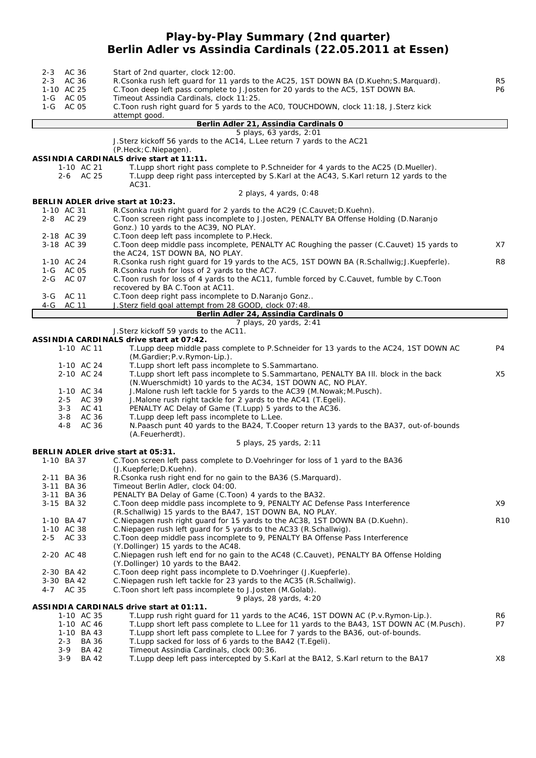#### **Play-by-Play Summary (2nd quarter) Berlin Adler vs Assindia Cardinals (22.05.2011 at Essen)**

| 2-3 AC 36                          | Start of 2nd quarter, clock 12:00.                                                           |                 |
|------------------------------------|----------------------------------------------------------------------------------------------|-----------------|
| 2-3 AC 36                          | R.Csonka rush left quard for 11 yards to the AC25, 1ST DOWN BA (D.Kuehn; S.Marquard).        | R <sub>5</sub>  |
| 1-10 AC 25                         | C. Toon deep left pass complete to J. Josten for 20 yards to the AC5, 1ST DOWN BA.           | P6              |
| 1-G AC 05                          | Timeout Assindia Cardinals, clock 11:25.                                                     |                 |
| 1-G AC 05                          | C. Toon rush right guard for 5 yards to the ACO, TOUCHDOWN, clock 11:18, J. Sterz kick       |                 |
|                                    | attempt good.                                                                                |                 |
|                                    | Berlin Adler 21, Assindia Cardinals 0                                                        |                 |
|                                    | 5 plays, 63 yards, 2:01                                                                      |                 |
|                                    | J. Sterz kickoff 56 yards to the AC14, L. Lee return 7 yards to the AC21                     |                 |
|                                    | $(P.Heck; C.Niepaqen)$ .                                                                     |                 |
|                                    | ASSINDIA CARDINALS drive start at 11:11.                                                     |                 |
| 1-10 AC 21                         | T. Lupp short right pass complete to P. Schneider for 4 yards to the AC25 (D. Mueller).      |                 |
| 2-6 AC 25                          | T.Lupp deep right pass intercepted by S.Karl at the AC43, S.Karl return 12 yards to the      |                 |
|                                    | AC31.                                                                                        |                 |
|                                    | 2 plays, 4 yards, 0:48                                                                       |                 |
| BERLIN ADLER drive start at 10:23. |                                                                                              |                 |
| 1-10 AC 31                         | R.Csonka rush right guard for 2 yards to the AC29 (C.Cauvet; D.Kuehn).                       |                 |
| 2-8 AC 29                          | C. Toon screen right pass incomplete to J. Josten, PENALTY BA Offense Holding (D. Naranjo    |                 |
|                                    | Gonz.) 10 yards to the AC39, NO PLAY.                                                        |                 |
| 2-18 AC 39                         | C. Toon deep left pass incomplete to P. Heck.                                                |                 |
| 3-18 AC 39                         | C. Toon deep middle pass incomplete, PENALTY AC Roughing the passer (C. Cauvet) 15 yards to  | X7              |
|                                    | the AC24, 1ST DOWN BA, NO PLAY.                                                              |                 |
| 1-10 AC 24                         | R.Csonka rush right guard for 19 yards to the AC5, 1ST DOWN BA (R.Schallwig; J.Kuepferle).   | R8              |
| 1-G AC 05                          | R.Csonka rush for loss of 2 yards to the AC7.                                                |                 |
| 2-G AC 07                          | C. Toon rush for loss of 4 yards to the AC11, fumble forced by C. Cauvet, fumble by C. Toon  |                 |
|                                    | recovered by BA C. Toon at AC11.                                                             |                 |
| 3-G AC 11                          | C. Toon deep right pass incomplete to D. Naranjo Gonz                                        |                 |
| 4-G<br>AC 11                       | J.Sterz field goal attempt from 28 GOOD, clock 07:48.                                        |                 |
|                                    | Berlin Adler 24, Assindia Cardinals 0                                                        |                 |
|                                    | 7 plays, 20 yards, 2:41                                                                      |                 |
|                                    | J.Sterz kickoff 59 yards to the AC11.                                                        |                 |
|                                    | ASSINDIA CARDINALS drive start at 07:42.                                                     |                 |
| 1-10 AC 11                         | T.Lupp deep middle pass complete to P.Schneider for 13 yards to the AC24, 1ST DOWN AC        | P4              |
|                                    | (M.Gardier; P.v. Rymon-Lip.).                                                                |                 |
| 1-10 AC 24                         | T. Lupp short left pass incomplete to S. Sammartano.                                         |                 |
| 2-10 AC 24                         | T.Lupp short left pass incomplete to S.Sammartano, PENALTY BA III. block in the back         | X5              |
|                                    | (N. Wuerschmidt) 10 yards to the AC34, 1ST DOWN AC, NO PLAY.                                 |                 |
| 1-10 AC 34                         | J. Malone rush left tackle for 5 yards to the AC39 (M. Nowak; M. Pusch).                     |                 |
| 2-5 AC 39                          | J. Malone rush right tackle for 2 yards to the AC41 (T. Egeli).                              |                 |
| 3-3 AC 41                          | PENALTY AC Delay of Game (T.Lupp) 5 yards to the AC36.                                       |                 |
| AC 36<br>3-8                       | T. Lupp deep left pass incomplete to L. Lee.                                                 |                 |
| 4-8<br>AC 36                       | N.Paasch punt 40 yards to the BA24, T.Cooper return 13 yards to the BA37, out-of-bounds      |                 |
|                                    | (A.Feuerherdt).                                                                              |                 |
|                                    | 5 plays, 25 yards, 2:11                                                                      |                 |
| BERLIN ADLER drive start at 05:31. | C. Toon screen left pass complete to D. Voehringer for loss of 1 yard to the BA36            |                 |
| 1-10 BA 37                         |                                                                                              |                 |
|                                    | (J.Kuepferle; D.Kuehn).<br>R.Csonka rush right end for no gain to the BA36 (S.Marquard).     |                 |
| 2-11 BA 36<br>3-11 BA 36           | Timeout Berlin Adler, clock 04:00.                                                           |                 |
|                                    | PENALTY BA Delay of Game (C.Toon) 4 yards to the BA32.                                       |                 |
| 3-11 BA 36<br>3-15 BA 32           | C. Toon deep middle pass incomplete to 9, PENALTY AC Defense Pass Interference               | X9              |
|                                    | (R.Schallwig) 15 yards to the BA47, 1ST DOWN BA, NO PLAY.                                    |                 |
| 1-10 BA 47                         | C. Niepagen rush right guard for 15 yards to the AC38, 1ST DOWN BA (D. Kuehn).               | R <sub>10</sub> |
| 1-10 AC 38                         | C. Niepagen rush left quard for 5 yards to the AC33 (R. Schallwig).                          |                 |
| $2 - 5$<br>AC 33                   | C. Toon deep middle pass incomplete to 9, PENALTY BA Offense Pass Interference               |                 |
|                                    | (Y.Dollinger) 15 yards to the AC48.                                                          |                 |
| 2-20 AC 48                         | C. Niepagen rush left end for no gain to the AC48 (C. Cauvet), PENALTY BA Offense Holding    |                 |
|                                    | (Y.Dollinger) 10 yards to the BA42.                                                          |                 |
| 2-30 BA 42                         | C. Toon deep right pass incomplete to D. Voehringer (J. Kuepferle).                          |                 |
| 3-30 BA 42                         | C. Niepagen rush left tackle for 23 yards to the AC35 (R. Schallwig).                        |                 |
| 4-7 AC 35                          | C. Toon short left pass incomplete to J. Josten (M. Golab).                                  |                 |
|                                    | 9 plays, 28 yards, 4:20                                                                      |                 |
|                                    | ASSINDIA CARDINALS drive start at 01:11.                                                     |                 |
| 1-10 AC 35                         | T. Lupp rush right guard for 11 yards to the AC46, 1ST DOWN AC (P.v. Rymon-Lip.).            | R6              |
| 1-10 AC 46                         | T. Lupp short left pass complete to L. Lee for 11 yards to the BA43, 1ST DOWN AC (M. Pusch). | P7              |
| 1-10 BA 43                         | T. Lupp short left pass complete to L. Lee for 7 yards to the BA36, out-of-bounds.           |                 |
| $2 - 3$<br><b>BA 36</b>            | T. Lupp sacked for loss of 6 yards to the BA42 (T. Egeli).                                   |                 |
| $3-9$<br><b>BA 42</b>              | Timeout Assindia Cardinals, clock 00:36.                                                     |                 |
| $3-9$<br><b>BA 42</b>              | T. Lupp deep left pass intercepted by S. Karl at the BA12, S. Karl return to the BA17        | X8              |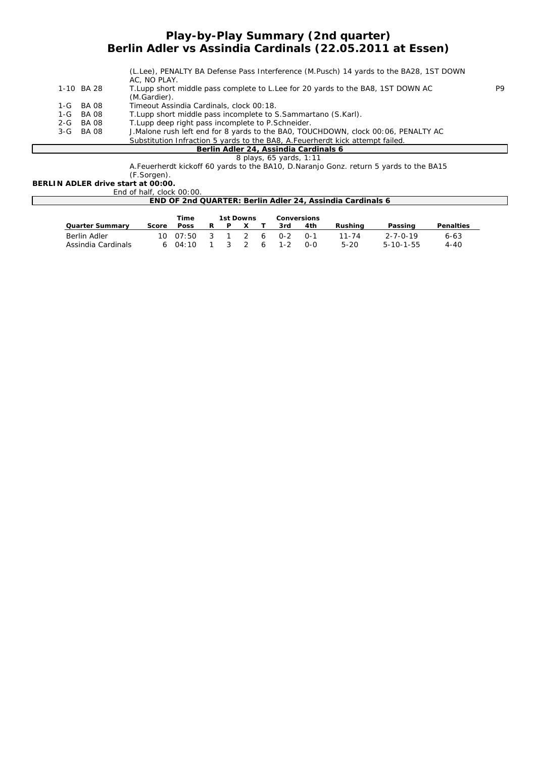#### **Play-by-Play Summary (2nd quarter) Berlin Adler vs Assindia Cardinals (22.05.2011 at Essen)**

|                                       | (L.Lee), PENALTY BA Defense Pass Interference (M.Pusch) 14 yards to the BA28, 1ST DOWN<br>AC, NO PLAY. |    |  |  |  |  |
|---------------------------------------|--------------------------------------------------------------------------------------------------------|----|--|--|--|--|
| 1-10 BA 28                            | T. Lupp short middle pass complete to L. Lee for 20 yards to the BA8, 1ST DOWN AC<br>(M.Gardier).      | P9 |  |  |  |  |
| 1-G BA08                              | Timeout Assindia Cardinals, clock 00:18.                                                               |    |  |  |  |  |
| 1-G BA 08                             | T. Lupp short middle pass incomplete to S. Sammartano (S. Karl).                                       |    |  |  |  |  |
| 2-G BA 08                             | T. Lupp deep right pass incomplete to P. Schneider.                                                    |    |  |  |  |  |
| 3-G BA08                              | J. Malone rush left end for 8 yards to the BAO, TOUCHDOWN, clock 00:06, PENALTY AC                     |    |  |  |  |  |
|                                       | Substitution Infraction 5 yards to the BA8, A. Feuerherdt kick attempt failed.                         |    |  |  |  |  |
| Berlin Adler 24, Assindia Cardinals 6 |                                                                                                        |    |  |  |  |  |

*8 plays, 65 yards, 1:11*

A.Feuerherdt kickoff 60 yards to the BA10, D.Naranjo Gonz. return 5 yards to the BA15

#### (F.Sorgen).

**BERLIN ADLER drive start at 00:00.** End of half, clock 00:00.

| <b>END OF 2nd QUARTER: Berlin Adler 24, Assindia Cardinals 6</b> |       |             |   |  |           |     |         |             |          |                   |                  |
|------------------------------------------------------------------|-------|-------------|---|--|-----------|-----|---------|-------------|----------|-------------------|------------------|
|                                                                  |       | Time        |   |  | 1st Downs |     |         | Conversions |          |                   |                  |
| <b>Quarter Summary</b>                                           | Score | <b>Poss</b> | R |  |           |     | 3rd     | 4th         | Rushina  | Passing           | <b>Penalties</b> |
| Berlin Adler                                                     |       | 10007:50    |   |  |           | - 6 | $0 - 2$ | $0 - 1$     | 11-74    | $2 - 7 - 0 - 19$  | $6 - 63$         |
| Assindia Cardinals                                               |       | 04:10       |   |  |           |     | 1-2     | 0-0         | $5 - 20$ | $5 - 10 - 1 - 55$ | $4 - 40$         |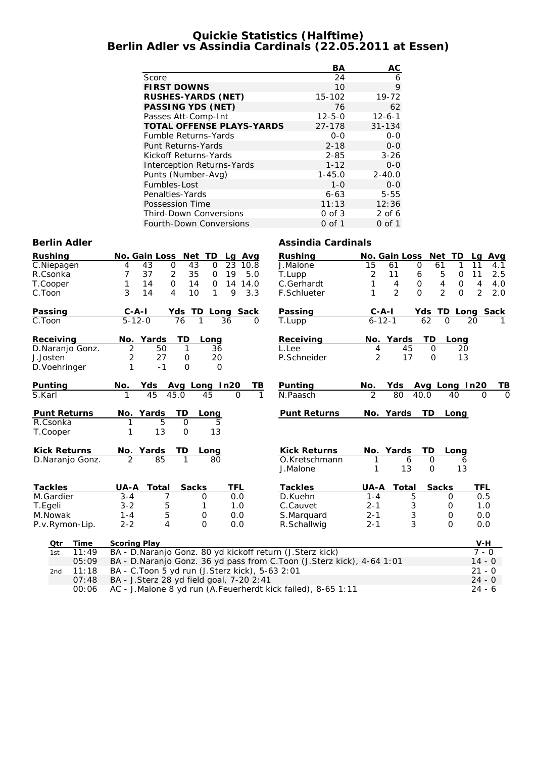#### **Quickie Statistics (Halftime) Berlin Adler vs Assindia Cardinals (22.05.2011 at Essen)**

|                                   | BА           | AС           |
|-----------------------------------|--------------|--------------|
| Score                             | 24           | 6            |
| <b>FIRST DOWNS</b>                | 10           | 9            |
| <b>RUSHES-YARDS (NET)</b>         | 15-102       | 19-72        |
| <b>PASSING YDS (NET)</b>          | 76           | 62           |
| Passes Att-Comp-Int               | $12 - 5 - 0$ | $12 - 6 - 1$ |
| <b>TOTAL OFFENSE PLAYS-YARDS</b>  | 27-178       | $31 - 134$   |
| <b>Fumble Returns-Yards</b>       | $0 - 0$      | $0 - 0$      |
| Punt Returns-Yards                | $2 - 18$     | $0 - 0$      |
| Kickoff Returns-Yards             | $2 - 85$     | $3 - 26$     |
| <b>Interception Returns-Yards</b> | $1 - 12$     | $0 - 0$      |
| Punts (Number-Avg)                | $1 - 45.0$   | $2 - 40.0$   |
| Fumbles-Lost                      | $1 - \Omega$ | $0 - 0$      |
| Penalties-Yards                   | $6 - 63$     | $5 - 55$     |
| Possession Time                   | 11:13        | 12:36        |
| <b>Third-Down Conversions</b>     | $0$ of $3$   | $2$ of 6     |
| Fourth-Down Conversions           | 0 of 1       | 0 of 1       |

#### **Berlin Adler Assindia Cardinals**

| <b>Rushing</b>           | Net<br><b>No. Gain Loss</b><br>TD<br>Lg Avg                           | <b>Rushing</b>      | <b>No. Gain Loss</b> | <b>Net</b><br>TD                       | Avg<br>Lq            |
|--------------------------|-----------------------------------------------------------------------|---------------------|----------------------|----------------------------------------|----------------------|
| C.Niepagen               | $\mathbf 0$<br>43<br>43<br>$\mathbf 0$<br>23<br>10.8<br>4             | J.Malone            | 15<br>61             | $\mathbf 0$<br>61<br>1                 | 11<br>4.1            |
| R.Csonka                 | 7<br>37<br>2<br>35<br>19<br>5.0<br>$\mathbf 0$                        | T.Lupp              | 2<br>11              | 5<br>$\mathbf 0$<br>6                  | 11<br>2.5            |
| T.Cooper                 | 0<br>1<br>14<br>14<br>$\mathbf 0$<br>14<br>14.0                       | C.Gerhardt          | 1<br>4               | 4<br>0<br>0                            | 4<br>4.0             |
| C.Toon                   | 3<br>3.3<br>14<br>4<br>10<br>1<br>9                                   | F.Schlueter         | $\mathcal{P}$<br>1   | $\overline{2}$<br>$\Omega$<br>$\Omega$ | 2<br>2.0             |
| Passing                  | $C - A - I$<br>Yds TD Long Sack                                       | Passing             | $C - A - I$          | Yds TD Long Sack                       |                      |
| $\overline{C}$ . Toon    | $5 - 12 - 0$<br>76<br>1<br>36<br>0                                    | T.Lupp              | $6 - 12 - 1$         | 62<br>$\Omega$                         | 20<br>1              |
| Receiving                | No. Yards<br>TD<br>Long                                               | Receiving           | No. Yards            | TD<br>Long                             |                      |
| D.Naranjo Gonz.          | $\overline{2}$<br>50<br>1<br>36                                       | L.Lee               | 45<br>4              | 0<br>20                                |                      |
| J.Josten                 | $\overline{2}$<br>27<br>20<br>$\mathbf 0$                             | P.Schneider         | $\overline{2}$<br>17 | $\Omega$<br>13                         |                      |
| D. Voehringer            | 1<br>$-1$<br>$\mathbf 0$<br>$\Omega$                                  |                     |                      |                                        |                      |
| Punting                  | Avg Long In20<br>No.<br>Yds<br>ΤВ                                     | Punting             | Yds<br>No.           | Avg Long In20                          | TВ                   |
| S.Karl                   | 45<br>45<br>45.0<br>0<br>1                                            | N.Paasch<br>1       | 2<br>80              | 40.0<br>40                             | $\Omega$<br>$\Omega$ |
| <b>Punt Returns</b>      | TD<br>No. Yards<br>Long                                               | <b>Punt Returns</b> | No. Yards            | TD<br>Long                             |                      |
| R.Csonka                 | 5<br>$\mathbf 0$<br>5                                                 |                     |                      |                                        |                      |
| T.Cooper                 | 13<br>13<br>$\Omega$<br>1                                             |                     |                      |                                        |                      |
| <b>Kick Returns</b>      | No. Yards<br>TD<br>Long                                               | <b>Kick Returns</b> | No. Yards            | TD<br>Long                             |                      |
| D.Naranjo Gonz.          | $\overline{2}$<br>85<br>1<br>80                                       | O.Kretschmann       | 1<br>6               | $\mathbf 0$<br>6                       |                      |
|                          |                                                                       | J.Malone            | 13<br>1              | 13<br>$\mathbf 0$                      |                      |
| <b>Tackles</b>           | <b>Sacks</b><br>TFL<br>UA-A<br>Total                                  | <b>Tackles</b>      | Total<br>UA-A        | <b>Sacks</b>                           | TFL                  |
| M.Gardier                | 7<br>$\Omega$<br>$3 - 4$<br>0.0                                       | D.Kuehn             | $1 - 4$              | 5<br>0                                 | 0.5                  |
| T.Egeli                  | 5<br>$3 - 2$<br>1.0<br>1                                              | C.Cauvet            | $2 - 1$              | 3<br>0                                 | 1.0                  |
| M.Nowak                  | 5<br>0<br>0.0<br>$1 - 4$                                              | S.Marquard          | $2 - 1$              | 3<br>0                                 | 0.0                  |
| P.v.Rymon-Lip.           | $2 - 2$<br>4<br>O<br>0.0                                              | R.Schallwig         | $2 - 1$              | 3<br>$\Omega$                          | 0.0                  |
| Otr<br>Time              | <b>Scoring Play</b>                                                   |                     |                      |                                        | $V-H$                |
| 11:49<br>1st             | BA - D.Naranjo Gonz. 80 yd kickoff return (J.Sterz kick)              |                     |                      |                                        | $7 - 0$              |
| 05:09                    | BA - D.Naranjo Gonz. 36 yd pass from C.Toon (J.Sterz kick), 4-64 1:01 |                     |                      |                                        | $14 - 0$             |
| 11:18<br>2 <sub>nd</sub> | BA - C. Toon 5 yd run (J. Sterz kick), 5-63 2:01                      |                     |                      |                                        | $21 - 0$             |
| 07:48                    | BA - J. Sterz 28 yd field goal, 7-20 2:41                             |                     |                      |                                        | $24 - 0$             |
| 00:06                    | AC - J.Malone 8 yd run (A.Feuerherdt kick failed), 8-65 1:11          |                     |                      |                                        | $24 - 6$             |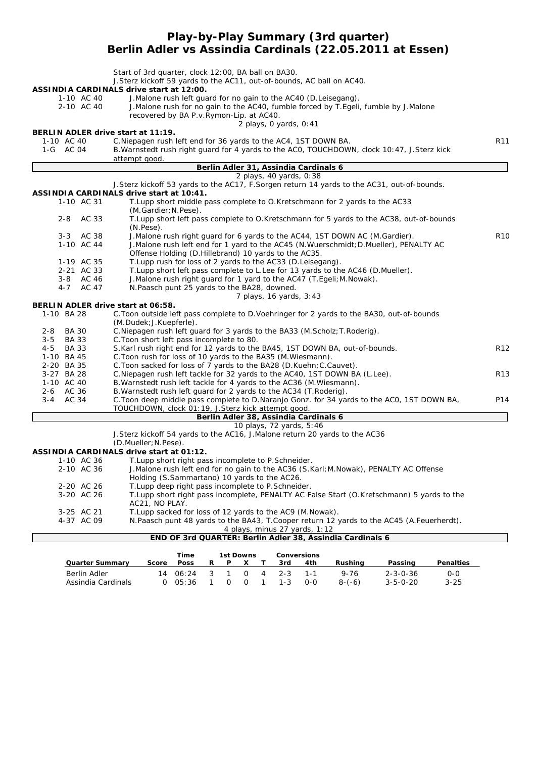#### **Play-by-Play Summary (3rd quarter) Berlin Adler vs Assindia Cardinals (22.05.2011 at Essen)**

|                                                  | Start of 3rd quarter, clock 12:00, BA ball on BA30.<br>J. Sterz kickoff 59 yards to the AC11, out-of-bounds, AC ball on AC40. |                 |
|--------------------------------------------------|-------------------------------------------------------------------------------------------------------------------------------|-----------------|
|                                                  | ASSINDIA CARDINALS drive start at 12:00.                                                                                      |                 |
| 1-10 AC 40                                       | J. Malone rush left guard for no gain to the AC40 (D. Leisegang).                                                             |                 |
| 2-10 AC 40                                       | J. Malone rush for no gain to the AC40, fumble forced by T. Egeli, fumble by J. Malone                                        |                 |
|                                                  | recovered by BA P.v.Rymon-Lip. at AC40.                                                                                       |                 |
|                                                  | 2 plays, $0$ yards, $0:41$                                                                                                    |                 |
| 1-10 AC 40                                       | BERLIN ADLER drive start at 11:19.<br>C. Niepagen rush left end for 36 yards to the AC4, 1ST DOWN BA.                         | R11             |
| 1-G AC 04                                        | B. Warnstedt rush right guard for 4 yards to the ACO, TOUCHDOWN, clock 10:47, J. Sterz kick                                   |                 |
|                                                  | attempt good.                                                                                                                 |                 |
|                                                  | Berlin Adler 31, Assindia Cardinals 6                                                                                         |                 |
|                                                  | 2 plays, 40 yards, 0:38                                                                                                       |                 |
|                                                  | J.Sterz kickoff 53 yards to the AC17, F.Sorgen return 14 yards to the AC31, out-of-bounds.                                    |                 |
|                                                  | ASSINDIA CARDINALS drive start at 10:41.                                                                                      |                 |
| 1-10 AC 31                                       | T. Lupp short middle pass complete to O. Kretschmann for 2 yards to the AC33<br>(M.Gardier; N.Pese).                          |                 |
| AC 33<br>2-8                                     | T.Lupp short left pass complete to O.Kretschmann for 5 yards to the AC38, out-of-bounds<br>$(N.Pese)$ .                       |                 |
| 3-3 AC 38                                        | J. Malone rush right quard for 6 yards to the AC44, 1ST DOWN AC (M. Gardier).                                                 | R <sub>10</sub> |
| 1-10 AC 44                                       | J.Malone rush left end for 1 yard to the AC45 (N.Wuerschmidt; D.Mueller), PENALTY AC                                          |                 |
|                                                  | Offense Holding (D.Hillebrand) 10 yards to the AC35.                                                                          |                 |
| 1-19 AC 35                                       | T. Lupp rush for loss of 2 yards to the AC33 (D. Leisegang).                                                                  |                 |
| 2-21 AC 33                                       | T.Lupp short left pass complete to L.Lee for 13 yards to the AC46 (D.Mueller).                                                |                 |
| 3-8 AC 46                                        | J. Malone rush right guard for 1 yard to the AC47 (T. Egeli; M. Nowak).                                                       |                 |
| 4-7 AC 47                                        | N.Paasch punt 25 yards to the BA28, downed.                                                                                   |                 |
|                                                  | 7 plays, 16 yards, 3:43                                                                                                       |                 |
| BERLIN ADLER drive start at 06:58.<br>1-10 BA 28 |                                                                                                                               |                 |
|                                                  | C. Toon outside left pass complete to D. Voehringer for 2 yards to the BA30, out-of-bounds<br>(M.Dudek; J.Kuepferle).         |                 |
| <b>BA 30</b><br>2-8                              | C. Niepagen rush left guard for 3 yards to the BA33 (M. Scholz; T. Roderig).                                                  |                 |
| <b>BA 33</b><br>3-5                              | C. Toon short left pass incomplete to 80.                                                                                     |                 |
| $4 - 5$<br><b>BA 33</b>                          | S.Karl rush right end for 12 yards to the BA45, 1ST DOWN BA, out-of-bounds.                                                   | R12             |
| 1-10 BA 45                                       | C. Toon rush for loss of 10 yards to the BA35 (M. Wiesmann).                                                                  |                 |
| 2-20 BA 35                                       | C. Toon sacked for loss of 7 yards to the BA28 (D. Kuehn; C. Cauvet).                                                         |                 |
| 3-27 BA 28                                       | C. Niepagen rush left tackle for 32 yards to the AC40, 1ST DOWN BA (L. Lee).                                                  | R <sub>13</sub> |
| 1-10 AC 40                                       | B. Warnstedt rush left tackle for 4 yards to the AC36 (M. Wiesmann).                                                          |                 |
| 2-6 AC 36                                        | B. Warnstedt rush left guard for 2 yards to the AC34 (T. Roderig).                                                            |                 |
| 3-4 AC 34                                        | C. Toon deep middle pass complete to D. Naranjo Gonz. for 34 yards to the ACO, 1ST DOWN BA,                                   | P14             |
|                                                  | TOUCHDOWN, clock 01:19, J.Sterz kick attempt good.                                                                            |                 |
|                                                  | Berlin Adler 38, Assindia Cardinals 6                                                                                         |                 |
|                                                  | 10 plays, 72 yards, 5:46                                                                                                      |                 |
|                                                  | J.Sterz kickoff 54 yards to the AC16, J.Malone return 20 yards to the AC36<br>(D.Mueller; N.Pese).                            |                 |
|                                                  | <b>ASSINDIA CARDINALS drive start at 01:12.</b>                                                                               |                 |
| 1-10 AC 36                                       | T.Lupp short right pass incomplete to P.Schneider.                                                                            |                 |
| 2-10 AC 36                                       | J.Malone rush left end for no gain to the AC36 (S.Karl; M.Nowak), PENALTY AC Offense                                          |                 |
|                                                  | Holding (S.Sammartano) 10 yards to the AC26.                                                                                  |                 |
| 2-20 AC 26                                       | T.Lupp deep right pass incomplete to P.Schneider.                                                                             |                 |
| 3-20 AC 26                                       | T.Lupp short right pass incomplete, PENALTY AC False Start (O.Kretschmann) 5 yards to the                                     |                 |
|                                                  | AC21, NO PLAY.                                                                                                                |                 |
| 3-25 AC 21                                       | T. Lupp sacked for loss of 12 yards to the AC9 (M. Nowak).                                                                    |                 |
| 4-37 AC 09                                       | N.Paasch punt 48 yards to the BA43, T.Cooper return 12 yards to the AC45 (A.Feuerherdt).                                      |                 |
|                                                  | 4 plays, minus 27 yards, 1:12                                                                                                 |                 |
|                                                  | END OF 3rd QUARTER: Berlin Adler 38, Assindia Cardinals 6                                                                     |                 |

|                        |       | Time        |              |          | 1st Downs |                 | <b>Conversions</b> |          |                  |                  |
|------------------------|-------|-------------|--------------|----------|-----------|-----------------|--------------------|----------|------------------|------------------|
| <b>Quarter Summary</b> | Score | <b>Poss</b> | R.           | P        |           | 3rd             | 4th                | Rushina  | Passing          | <b>Penalties</b> |
| Berlin Adler           |       | 14 $06:24$  | $4 \times 3$ |          |           | $0 \t 4 \t 2-3$ |                    | $9 - 76$ | $2 - 3 - 0 - 36$ | $0 - 0$          |
| Assindia Cardinals     |       | 05:36       |              | $\Omega$ | $\Omega$  | $1 - 3$         | $O-O$              | $8-(-6)$ | $3 - 5 - 0 - 20$ | $3 - 25$         |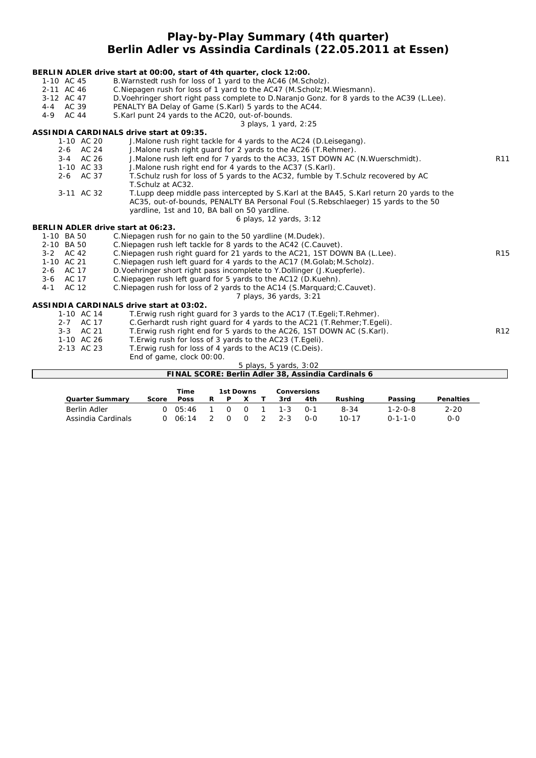## **Play-by-Play Summary (4th quarter) Berlin Adler vs Assindia Cardinals (22.05.2011 at Essen)**

#### **BERLIN ADLER drive start at 00:00, start of 4th quarter, clock 12:00.** 1-10 AC 45 B.Warnstedt rush for loss of 1 yard to the AC46 (M.Scholz).<br>2-11 AC 46 C.Niepagen rush for loss of 1 yard to the AC47 (M.Scholz; M C.Niepagen rush for loss of 1 yard to the AC47 (M.Scholz; M.Wiesmann). 3-12 AC 47 D.Voehringer short right pass complete to D.Naranjo Gonz. for 8 yards to the AC39 (L.Lee).<br>4-4 AC 39 PENALTY BA Delay of Game (S.Karl) 5 yards to the AC44. PENALTY BA Delay of Game (S.Karl) 5 yards to the AC44. 4-9 AC 44 S.Karl punt 24 yards to the AC20, out-of-bounds. *3 plays, 1 yard, 2:25* **ASSINDIA CARDINALS drive start at 09:35.** 1-10 AC 20 J.Malone rush right tackle for 4 yards to the AC24 (D.Leisegang). 2-6 AC 24 J.Malone rush right guard for 2 yards to the AC26 (T.Rehmer). 3-4 AC 26 J.Malone rush left end for 7 yards to the AC33, 1ST DOWN AC (N.Wuerschmidt). R11<br>1-10 AC 33 J.Malone rush right end for 4 yards to the AC37 (S.Karl). J.Malone rush right end for 4 yards to the AC37 (S.Karl). 2-6 AC 37 T.Schulz rush for loss of 5 yards to the AC32, fumble by T.Schulz recovered by AC T.Schulz at AC32. 3-11 AC 32 T.Lupp deep middle pass intercepted by S.Karl at the BA45, S.Karl return 20 yards to the AC35, out-of-bounds, PENALTY BA Personal Foul (S.Rebschlaeger) 15 yards to the 50 yardline, 1st and 10, BA ball on 50 yardline. *6 plays, 12 yards, 3:12* **BERLIN ADLER drive start at 06:23.** 1-10 BA 50 C.Niepagen rush for no gain to the 50 yardline (M.Dudek). 2-10 BA 50 C.Niepagen rush left tackle for 8 yards to the AC42 (C.Cauvet)<br>3-2 AC 42 C.Niepagen rush right guard for 21 yards to the AC21, 1ST DO C. Niepagen rush right guard for 21 yards to the AC21, 1ST DOWN BA (L.Lee). R15 1-10 AC 21 C.Niepagen rush left guard for 4 yards to the AC17 (M.Golab;M.Scholz). 2-6 AC 17 D.Voehringer short right pass incomplete to Y.Dollinger (J.Kuepferle). 3-6 AC 17 C. Niepagen rush left guard for 5 yards to the AC12 (D. Kuehn).<br>4-1 AC 12 C. Niepagen rush for loss of 2 yards to the AC14 (S. Marguard; AC 12 C.Niepagen rush for loss of 2 yards to the AC14 (S.Marquard; C.Cauvet). *7 plays, 36 yards, 3:21* **ASSINDIA CARDINALS drive start at 03:02.** T. Erwig rush right guard for 3 yards to the AC17 (T. Egeli; T. Rehmer). 2-7 AC 17 C.Gerhardt rush right guard for 4 yards to the AC21 (T.Rehmer; T.Egeli).<br>2-3 AC 21 T.Erwig rush right end for 5 vards to the AC26, 1ST DOWN AC (S.Karl). 3-3 AC 21 T. Erwig rush right end for 5 yards to the AC26, 1ST DOWN AC (S.Karl). The R12 R12<br>1-10 AC 26 T. Erwig rush for loss of 3 yards to the AC23 (T. Egeli). T. Erwig rush for loss of 3 yards to the AC23 (T. Egeli). 2-13 AC 23 T.Erwig rush for loss of 4 yards to the AC19 (C.Deis). End of game, clock 00:00. *5 plays, 5 yards, 3:02* **FINAL SCORE: Berlin Adler 38, Assindia Cardinals 6**

|                    |       | Time        |   | 1st Downs |          |         | Conversions |           |                 |                  |
|--------------------|-------|-------------|---|-----------|----------|---------|-------------|-----------|-----------------|------------------|
| Quarter Summarv    | Score | <b>Poss</b> | R | P         |          | 3rd     | 4th         | Rushina   | Passing         | <b>Penalties</b> |
| Berlin Adler       |       | 05:46       |   |           | $\Omega$ | $1 - 3$ | $0 - 1$     | $8 - 34$  | l-2-0-8         | $2 - 20$         |
| Assindia Cardinals |       | 06:14       |   |           |          | $2 - 3$ | റ-റ         | $10 - 17$ | $0 - 1 - 1 - 0$ | 0-0              |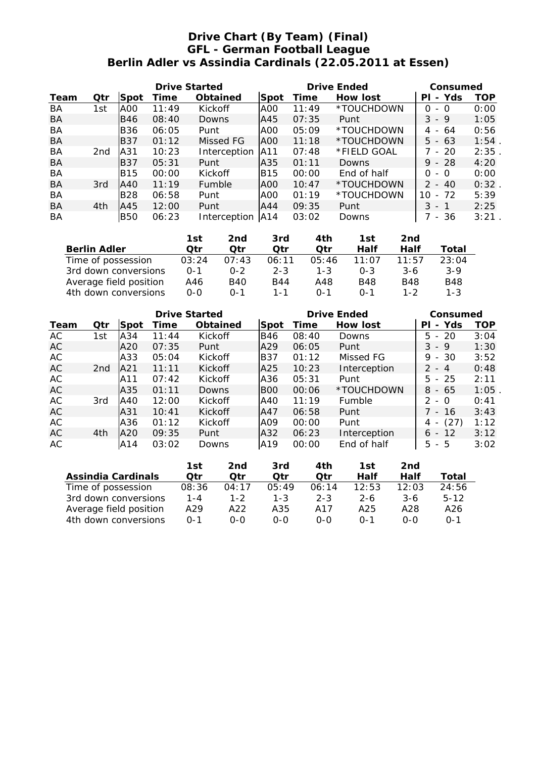## **Drive Chart (By Team) (Final) GFL - German Football League Berlin Adler vs Assindia Cardinals (22.05.2011 at Essen)**

|           |                 |             | <b>Drive Started</b> |                 |      |       | <b>Drive Ended</b> | Consumed                       |          |  |
|-----------|-----------------|-------------|----------------------|-----------------|------|-------|--------------------|--------------------------------|----------|--|
| Team      | Qtr             | <b>Spot</b> | Time                 | <b>Obtained</b> | Spot | Time  | <b>How lost</b>    | Yds<br>ΡI<br>$\blacksquare$    | TOP      |  |
| BA        | 1st             | AOO         | 11:49                | Kickoff         | IAOO | 11:49 | *TOUCHDOWN         | 0<br>- 0                       | 0:00     |  |
| BA        |                 | IB46        | 08:40                | Downs           | IA45 | 07:35 | Punt               | $3 - 9$                        | 1:05     |  |
| BA        |                 | <b>B36</b>  | 06:05                | Punt            | IAOO | 05:09 | *TOUCHDOWN         | 4 -<br>64                      | 0:56     |  |
| BA        |                 | IB37        | 01:12                | Missed FG       | AOO. | 11:18 | *TOUCHDOWN         | $5 - 63$                       | $1:54$ . |  |
| <b>BA</b> | 2 <sub>nd</sub> | lA31        | 10:23                | Interception    | IA11 | 07:48 | *FIELD GOAL        | $-20$                          | 2:35     |  |
| BA        |                 | IB37        | 05:31                | Punt            | A35  | 01:11 | Downs              | $9 - 28$                       | 4:20     |  |
| BA        |                 | <b>B15</b>  | 00:00                | Kickoff         | IB15 | 00:00 | End of half        | 0<br>- 0                       | 0:00     |  |
| BA        | 3rd             | IA40        | 11:19                | Fumble          | lAOO | 10:47 | *TOUCHDOWN         | $\mathcal{P}$<br>- 40          | 0:32     |  |
| BA        |                 | <b>B28</b>  | 06:58                | Punt            | IAOO | 01:19 | *TOUCHDOWN         | $-72$<br>10                    | 5:39     |  |
| BA        | 4th             | IA45        | 12:00                | Punt            | IA44 | 09:35 | Punt               | 3<br>- 1                       | 2:25     |  |
| <b>BA</b> |                 | <b>B50</b>  | 06:23                | Interception    | A14  | 03:02 | Downs              | 36<br>$\overline{\phantom{a}}$ | $3:21$ . |  |

|                        | 1st     | 2nd     | 3rd     | 4th     | 1st        | 2nd        |            |
|------------------------|---------|---------|---------|---------|------------|------------|------------|
| <b>Berlin Adler</b>    | Otr     | Otr     | Otr     | Otr     | Half       | Half       | Total      |
| Time of possession     | 03:24   | 07:43   | 06:11   | 05:46   | 11:07      | 11:57      | 23:04      |
| 3rd down conversions   | $0 - 1$ | $0 - 2$ | $2 - 3$ | $1 - 3$ | $0 - 3$    | $3-6$      | $3-9$      |
| Average field position | A46     | B40     | B44     | A48     | <b>B48</b> | <b>B48</b> | <b>B48</b> |
| 4th down conversions   | $0 - 0$ | $0 - 1$ | 1 - 1   | $0 - 1$ | $0 - 1$    | 1-2        | $1 - 3$    |

|      |                 |            | <b>Drive Started</b> |                 |            | <b>Drive Ended</b> | Consumed        |                                       |            |
|------|-----------------|------------|----------------------|-----------------|------------|--------------------|-----------------|---------------------------------------|------------|
| Team | Qtr             | Spot       | Time                 | <b>Obtained</b> | Spot       | Time               | <b>How lost</b> | - Yds<br>ΡI                           | <b>TOP</b> |
| AC   | 1st             | lA34       | 11:44                | <b>Kickoff</b>  | <b>B46</b> | 08:40              | Downs           | $5 - 20$                              | 3:04       |
| AC   |                 | A20        | 07:35                | Punt            | A29        | 06:05              | Punt            | $3 - 9$                               | 1:30       |
| AC   |                 | A33        | 05:04                | <b>Kickoff</b>  | IB37       | 01:12              | Missed FG       | $9 - 30$                              | 3:52       |
| AC   | 2 <sub>nd</sub> | <b>A21</b> | 11:11                | <b>Kickoff</b>  | A25        | 10:23              | Interception    | $2 - 4$                               | 0:48       |
| AC   |                 | A11        | 07:42                | <b>Kickoff</b>  | lA36       | 05:31              | Punt            | $5 - 25$                              | 2:11       |
| AC   |                 | A35        | 01:11                | Downs           | <b>BOO</b> | 00:06              | *TOUCHDOWN      | $8 - 65$                              | $1:05$ .   |
| AC   | 3rd             | IA40       | 12:00                | <b>Kickoff</b>  | IA40       | 11:19              | Fumble          | $2 - 0$                               | 0:41       |
| AC   |                 | lA31       | 10:41                | <b>Kickoff</b>  | IA47       | 06:58              | Punt            | 7 - 16                                | 3:43       |
| AC   |                 | A36        | 01:12                | <b>Kickoff</b>  | A09        | 00:00              | Punt            | (27)<br>4<br>$\overline{\phantom{a}}$ | 1:12       |
| AC   | 4th             | IA20       | 09:35                | Punt            | A32        | 06:23              | Interception    | $6 - 12$                              | 3:12       |
| AC   |                 | IA14       | 03:02                | Downs           | A19        | 00:00              | End of half     | $5 - 5$                               | 3:02       |

|                           | 1st     | 2nd     | 3rd     | 4th     | 1st     | 2nd        |         |
|---------------------------|---------|---------|---------|---------|---------|------------|---------|
| <b>Assindia Cardinals</b> | Otr     | Otr     | Otr     | Otr     | Half    | Half       | Total   |
| Time of possession        | 08:36   | 04:17   | 05:49   | 06:14   | 12:53   | 12:03      | 24:56   |
| 3rd down conversions      | $1 - 4$ | $1 - 2$ | $1 - 3$ | $2 - 3$ | $2 - 6$ | $3-6$      | $5-12$  |
| Average field position    | A29     | A22     | A35     | A17     | A25     | A28        | A26     |
| 4th down conversions      | $0 - 1$ | ი-ი     | ი-ი     | $O-O$   | $0 - 1$ | <u>ດ-ດ</u> | $0 - 1$ |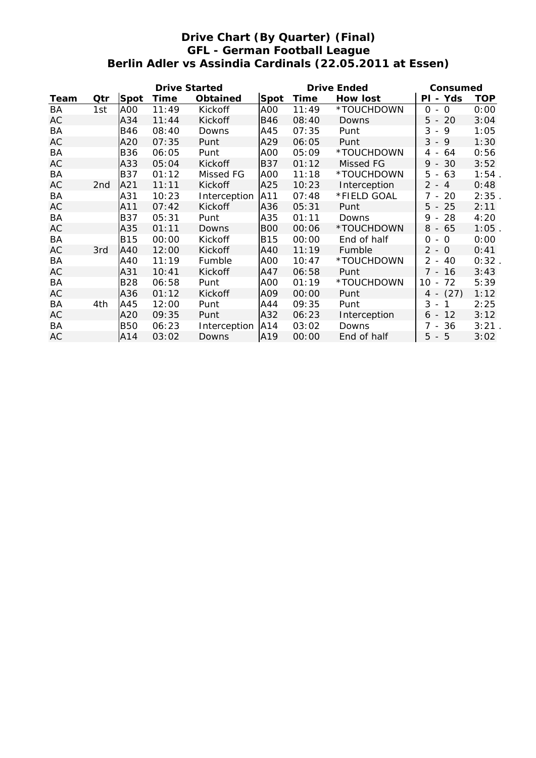## **Drive Chart (By Quarter) (Final) GFL - German Football League Berlin Adler vs Assindia Cardinals (22.05.2011 at Essen)**

|      |     |             | <b>Drive Started</b> |                 |            | <b>Drive Ended</b> | Consumed     |                                           |            |
|------|-----|-------------|----------------------|-----------------|------------|--------------------|--------------|-------------------------------------------|------------|
| Team | Qtr | <b>Spot</b> | Time                 | <b>Obtained</b> | Spot       | Time               | How lost     | PI - Yds                                  | <b>TOP</b> |
| BA   | 1st | A00         | 11:49                | Kickoff         | A00        | 11:49              | *TOUCHDOWN   | $\circ$<br>0<br>$-$                       | 0:00       |
| AC   |     | A34         | 11:44                | Kickoff         | B46        | 08:40              | Downs        | $5 - 20$                                  | 3:04       |
| BA   |     | <b>B46</b>  | 08:40                | Downs           | A45        | 07:35              | Punt         | 3<br>9<br>$\blacksquare$                  | 1:05       |
| AC   |     | A20         | 07:35                | Punt            | A29        | 06:05              | Punt         | $3 - 9$                                   | 1:30       |
| BA   |     | <b>B36</b>  | 06:05                | Punt            | A00        | 05:09              | *TOUCHDOWN   | 64<br>4 -                                 | 0:56       |
| AC   |     | A33         | 05:04                | <b>Kickoff</b>  | <b>B37</b> | 01:12              | Missed FG    | 30<br>$9 -$                               | 3:52       |
| BA   |     | <b>B37</b>  | 01:12                | Missed FG       | A00        | 11:18              | *TOUCHDOWN   | 5<br>63<br>$\overline{\phantom{a}}$       | $1:54$ .   |
| AC   | 2nd | A21         | 11:11                | Kickoff         | A25        | 10:23              | Interception | $2 - 4$                                   | 0:48       |
| BA   |     | A31         | 10:23                | Interception    | A11        | 07:48              | *FIELD GOAL  | -20<br>7 -                                | 2:35.      |
| AC   |     | A11         | 07:42                | <b>Kickoff</b>  | A36        | 05:31              | Punt         | $5 - 25$                                  | 2:11       |
| BA   |     | <b>B37</b>  | 05:31                | Punt            | A35        | 01:11              | Downs        | 28<br>9<br>$\overline{\phantom{a}}$       | 4:20       |
| AC   |     | A35         | 01:11                | Downs           | <b>BOO</b> | 00:06              | *TOUCHDOWN   | $8 - 65$                                  | $1:05$ .   |
| BA   |     | <b>B15</b>  | 00:00                | Kickoff         | <b>B15</b> | 00:00              | End of half  | $\Omega$<br>0<br>$\overline{\phantom{a}}$ | 0:00       |
| AC   | 3rd | A40         | 12:00                | <b>Kickoff</b>  | A40        | 11:19              | Fumble       | $2 - 0$                                   | 0:41       |
| BA   |     | A40         | 11:19                | Fumble          | A00        | 10:47              | *TOUCHDOWN   | $2 -$<br>40                               | $0:32$ .   |
| AC   |     | A31         | 10:41                | Kickoff         | A47        | 06:58              | Punt         | $7 - 16$                                  | 3:43       |
| BA   |     | <b>B28</b>  | 06:58                | Punt            | A00        | 01:19              | *TOUCHDOWN   | 72<br>10<br>$\blacksquare$                | 5:39       |
| AC   |     | A36         | 01:12                | <b>Kickoff</b>  | A09        | 00:00              | Punt         | $4 - (27)$                                | 1:12       |
| BA   | 4th | A45         | 12:00                | Punt            | A44        | 09:35              | Punt         | $3 -$<br>$\mathbf{1}$                     | 2:25       |
| AC   |     | A20         | 09:35                | Punt            | A32        | 06:23              | Interception | $6 - 12$                                  | 3:12       |
| BA   |     | <b>B50</b>  | 06:23                | Interception    | A14        | 03:02              | Downs        | 36<br>7 -                                 | 3:21       |
| AC   |     | A14         | 03:02                | Downs           | A19        | 00:00              | End of half  | $5 - 5$                                   | 3:02       |